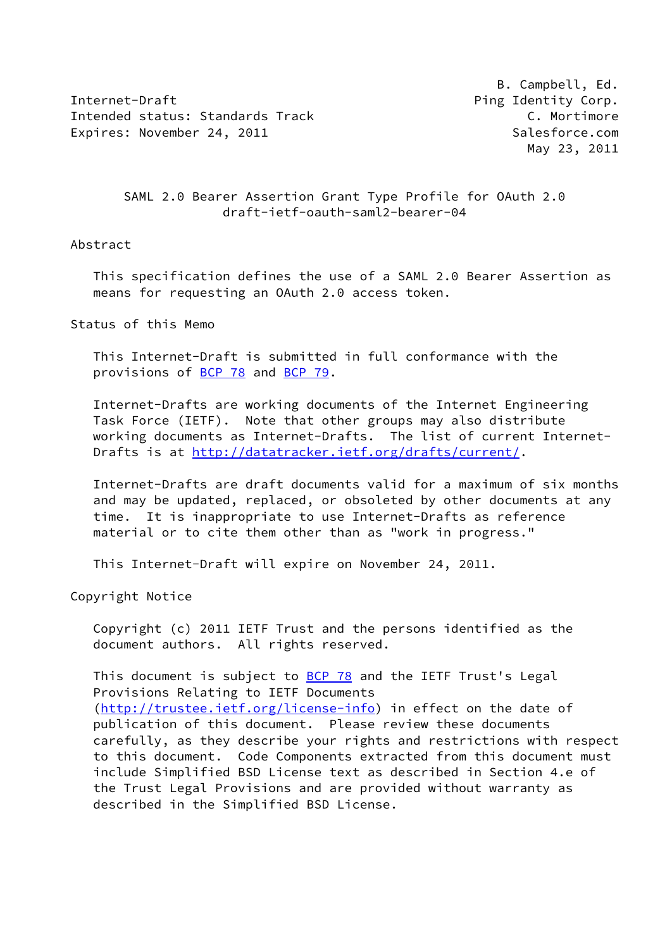Internet-Draft **Ping Identity Corp.** Intended status: Standards Track C. Mortimore Expires: November 24, 2011 and the state of the Salesforce.com

 B. Campbell, Ed. May 23, 2011

## SAML 2.0 Bearer Assertion Grant Type Profile for OAuth 2.0 draft-ietf-oauth-saml2-bearer-04

### Abstract

 This specification defines the use of a SAML 2.0 Bearer Assertion as means for requesting an OAuth 2.0 access token.

Status of this Memo

 This Internet-Draft is submitted in full conformance with the provisions of [BCP 78](https://datatracker.ietf.org/doc/pdf/bcp78) and [BCP 79](https://datatracker.ietf.org/doc/pdf/bcp79).

 Internet-Drafts are working documents of the Internet Engineering Task Force (IETF). Note that other groups may also distribute working documents as Internet-Drafts. The list of current Internet- Drafts is at<http://datatracker.ietf.org/drafts/current/>.

 Internet-Drafts are draft documents valid for a maximum of six months and may be updated, replaced, or obsoleted by other documents at any time. It is inappropriate to use Internet-Drafts as reference material or to cite them other than as "work in progress."

This Internet-Draft will expire on November 24, 2011.

Copyright Notice

 Copyright (c) 2011 IETF Trust and the persons identified as the document authors. All rights reserved.

This document is subject to **[BCP 78](https://datatracker.ietf.org/doc/pdf/bcp78)** and the IETF Trust's Legal Provisions Relating to IETF Documents [\(http://trustee.ietf.org/license-info](http://trustee.ietf.org/license-info)) in effect on the date of publication of this document. Please review these documents carefully, as they describe your rights and restrictions with respect to this document. Code Components extracted from this document must include Simplified BSD License text as described in Section 4.e of the Trust Legal Provisions and are provided without warranty as described in the Simplified BSD License.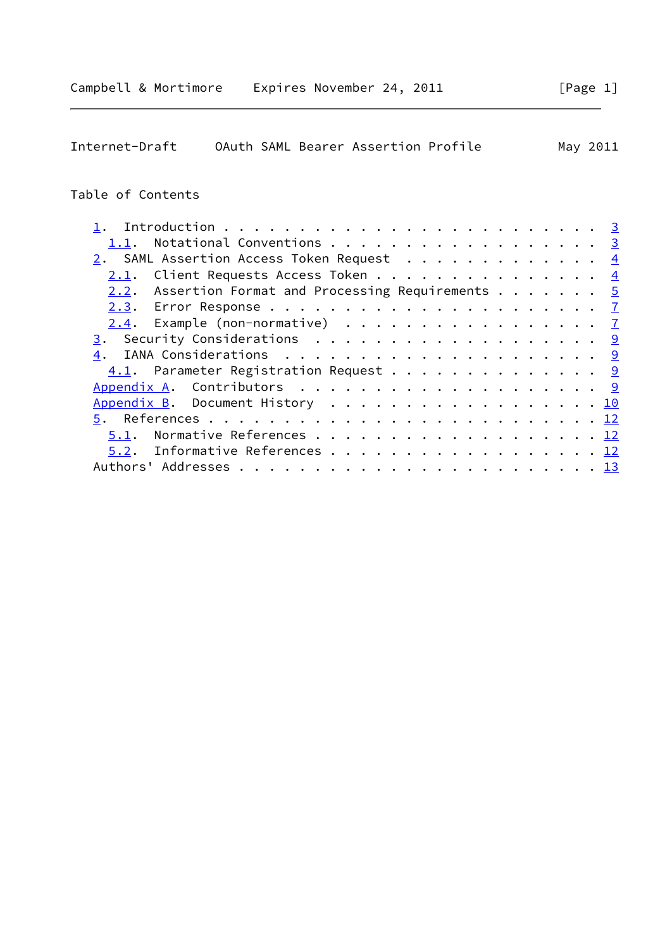Internet-Draft OAuth SAML Bearer Assertion Profile May 2011

# Table of Contents

| 1.1. Notational Conventions 3                                   |  |  |
|-----------------------------------------------------------------|--|--|
| 2. SAML Assertion Access Token Request $\frac{4}{5}$            |  |  |
| <u>2.1</u> . Client Requests Access Token 4                     |  |  |
| 2.2. Assertion Format and Processing Requirements $\frac{5}{2}$ |  |  |
|                                                                 |  |  |
| $2.4$ . Example (non-normative) $\frac{7}{2}$                   |  |  |
|                                                                 |  |  |
|                                                                 |  |  |
| 4.1. Parameter Registration Request 9                           |  |  |
|                                                                 |  |  |
| Appendix B. Document History 10                                 |  |  |
|                                                                 |  |  |
| Normative References 12<br>5.1.                                 |  |  |
| 5.2. Informative References 12                                  |  |  |
|                                                                 |  |  |
|                                                                 |  |  |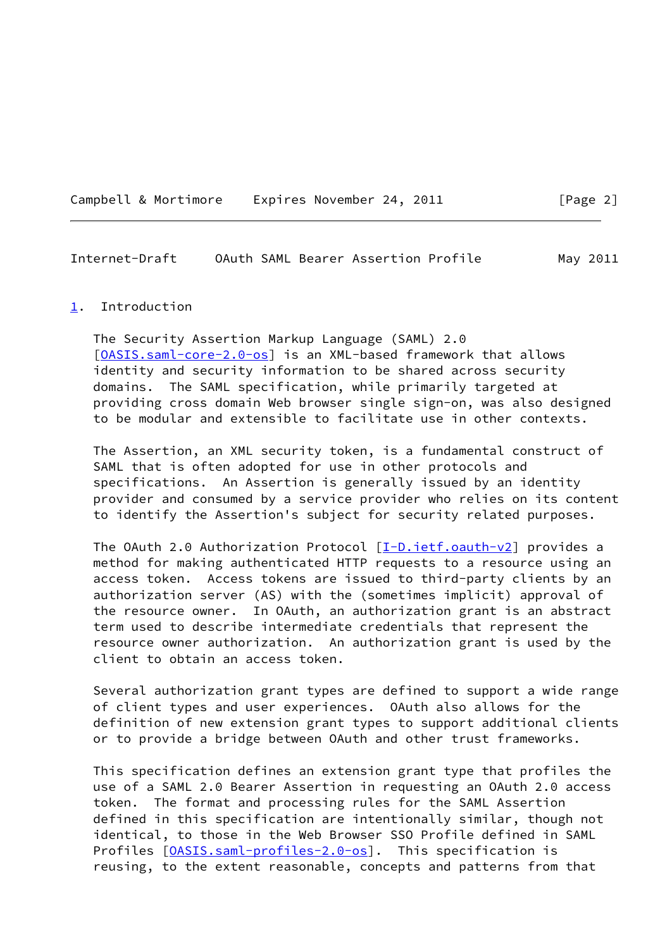Campbell & Mortimore Expires November 24, 2011 [Page 2]

<span id="page-2-1"></span>Internet-Draft OAuth SAML Bearer Assertion Profile May 2011

#### <span id="page-2-0"></span>[1](#page-2-0). Introduction

 The Security Assertion Markup Language (SAML) 2.0 [\[OASIS.saml-core-2.0-os](#page-12-3)] is an XML-based framework that allows identity and security information to be shared across security domains. The SAML specification, while primarily targeted at providing cross domain Web browser single sign-on, was also designed to be modular and extensible to facilitate use in other contexts.

 The Assertion, an XML security token, is a fundamental construct of SAML that is often adopted for use in other protocols and specifications. An Assertion is generally issued by an identity provider and consumed by a service provider who relies on its content to identify the Assertion's subject for security related purposes.

The OAuth 2.0 Authorization Protocol  $[\underline{I-D.ietf.oauth-v2}]$  provides a method for making authenticated HTTP requests to a resource using an access token. Access tokens are issued to third-party clients by an authorization server (AS) with the (sometimes implicit) approval of the resource owner. In OAuth, an authorization grant is an abstract term used to describe intermediate credentials that represent the resource owner authorization. An authorization grant is used by the client to obtain an access token.

 Several authorization grant types are defined to support a wide range of client types and user experiences. OAuth also allows for the definition of new extension grant types to support additional clients or to provide a bridge between OAuth and other trust frameworks.

 This specification defines an extension grant type that profiles the use of a SAML 2.0 Bearer Assertion in requesting an OAuth 2.0 access token. The format and processing rules for the SAML Assertion defined in this specification are intentionally similar, though not identical, to those in the Web Browser SSO Profile defined in SAML Profiles  $[0ASIS.saml-profiles-2.0-os]$ . This specification is reusing, to the extent reasonable, concepts and patterns from that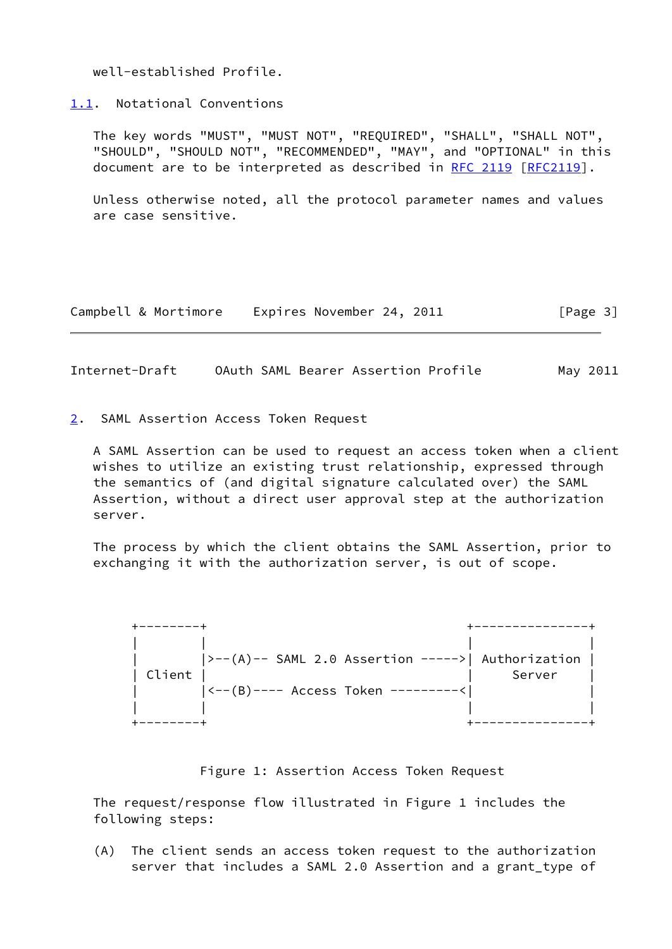well-established Profile.

<span id="page-3-0"></span>[1.1](#page-3-0). Notational Conventions

 The key words "MUST", "MUST NOT", "REQUIRED", "SHALL", "SHALL NOT", "SHOULD", "SHOULD NOT", "RECOMMENDED", "MAY", and "OPTIONAL" in this document are to be interpreted as described in [RFC 2119 \[RFC2119](https://datatracker.ietf.org/doc/pdf/rfc2119)].

 Unless otherwise noted, all the protocol parameter names and values are case sensitive.

| Campbell & Mortimore | Expires November 24, 2011 | [Page 3] |
|----------------------|---------------------------|----------|
|----------------------|---------------------------|----------|

<span id="page-3-2"></span>Internet-Draft OAuth SAML Bearer Assertion Profile May 2011

<span id="page-3-1"></span>[2](#page-3-1). SAML Assertion Access Token Request

 A SAML Assertion can be used to request an access token when a client wishes to utilize an existing trust relationship, expressed through the semantics of (and digital signature calculated over) the SAML Assertion, without a direct user approval step at the authorization server.

 The process by which the client obtains the SAML Assertion, prior to exchanging it with the authorization server, is out of scope.



#### Figure 1: Assertion Access Token Request

 The request/response flow illustrated in Figure 1 includes the following steps:

 (A) The client sends an access token request to the authorization server that includes a SAML 2.0 Assertion and a grant\_type of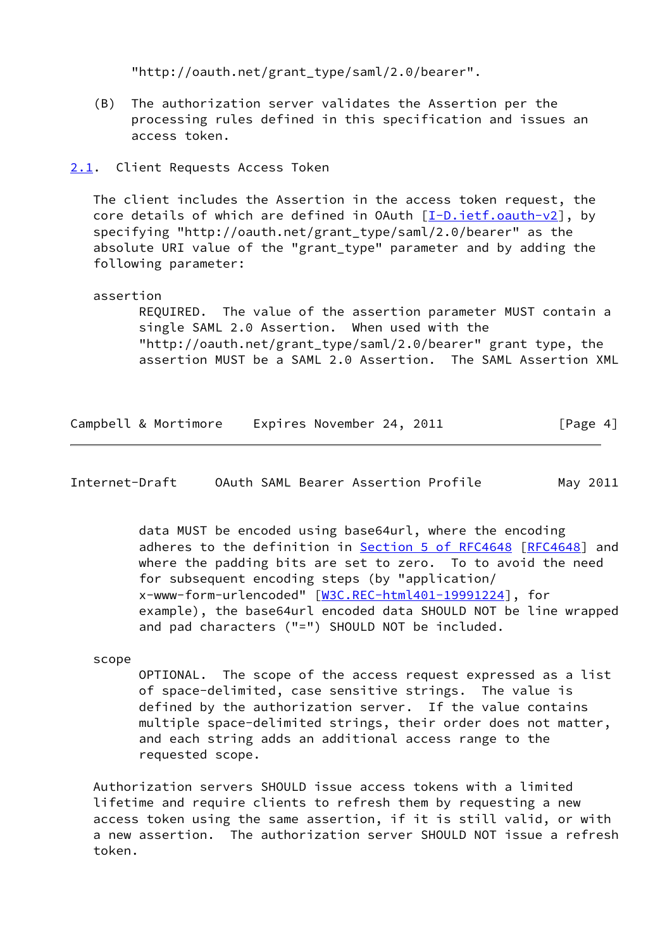"http://oauth.net/grant\_type/saml/2.0/bearer".

 (B) The authorization server validates the Assertion per the processing rules defined in this specification and issues an access token.

## <span id="page-4-0"></span>[2.1](#page-4-0). Client Requests Access Token

 The client includes the Assertion in the access token request, the core details of which are defined in OAuth  $[I-D.iett.oauth-v2]$ , by specifying "http://oauth.net/grant\_type/saml/2.0/bearer" as the absolute URI value of the "grant\_type" parameter and by adding the following parameter:

### assertion

 REQUIRED. The value of the assertion parameter MUST contain a single SAML 2.0 Assertion. When used with the "http://oauth.net/grant\_type/saml/2.0/bearer" grant type, the assertion MUST be a SAML 2.0 Assertion. The SAML Assertion XML

| Campbell & Mortimore<br>Expires November 24, 2011 |  |  |  |  |  |  | [Page 4] |
|---------------------------------------------------|--|--|--|--|--|--|----------|
|---------------------------------------------------|--|--|--|--|--|--|----------|

<span id="page-4-1"></span>Internet-Draft OAuth SAML Bearer Assertion Profile May 2011

 data MUST be encoded using base64url, where the encoding adheres to the definition in Section [5 of RFC4648](https://datatracker.ietf.org/doc/pdf/rfc4648#section-5) [\[RFC4648](https://datatracker.ietf.org/doc/pdf/rfc4648)] and where the padding bits are set to zero. To to avoid the need for subsequent encoding steps (by "application/ x-www-form-urlencoded" [\[W3C.REC-html401-19991224](#page-13-3)], for example), the base64url encoded data SHOULD NOT be line wrapped and pad characters ("=") SHOULD NOT be included.

scope

 OPTIONAL. The scope of the access request expressed as a list of space-delimited, case sensitive strings. The value is defined by the authorization server. If the value contains multiple space-delimited strings, their order does not matter, and each string adds an additional access range to the requested scope.

 Authorization servers SHOULD issue access tokens with a limited lifetime and require clients to refresh them by requesting a new access token using the same assertion, if it is still valid, or with a new assertion. The authorization server SHOULD NOT issue a refresh token.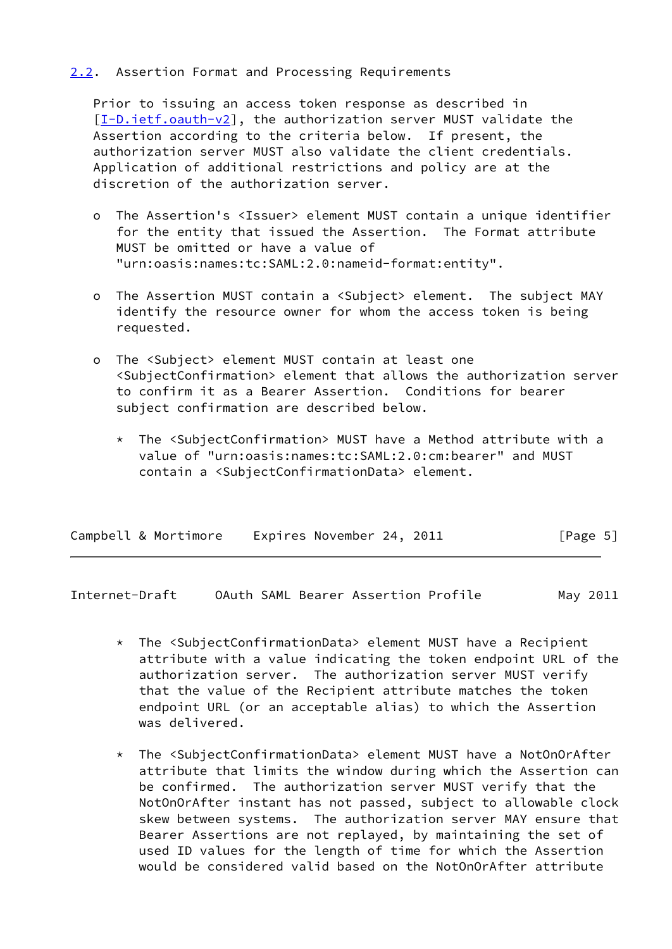## <span id="page-5-0"></span>[2.2](#page-5-0). Assertion Format and Processing Requirements

 Prior to issuing an access token response as described in [\[I-D.ietf.oauth-v2](#page-12-4)], the authorization server MUST validate the Assertion according to the criteria below. If present, the authorization server MUST also validate the client credentials. Application of additional restrictions and policy are at the discretion of the authorization server.

- o The Assertion's <Issuer> element MUST contain a unique identifier for the entity that issued the Assertion. The Format attribute MUST be omitted or have a value of "urn:oasis:names:tc:SAML:2.0:nameid-format:entity".
- o The Assertion MUST contain a <Subject> element. The subject MAY identify the resource owner for whom the access token is being requested.
- o The <Subject> element MUST contain at least one <SubjectConfirmation> element that allows the authorization server to confirm it as a Bearer Assertion. Conditions for bearer subject confirmation are described below.
	- \* The <SubjectConfirmation> MUST have a Method attribute with a value of "urn:oasis:names:tc:SAML:2.0:cm:bearer" and MUST contain a <SubjectConfirmationData> element.

| Campbell & Mortimore | Expires November 24, 2011 | [Page 5] |
|----------------------|---------------------------|----------|
|----------------------|---------------------------|----------|

Internet-Draft OAuth SAML Bearer Assertion Profile May 2011

- \* The <SubjectConfirmationData> element MUST have a Recipient attribute with a value indicating the token endpoint URL of the authorization server. The authorization server MUST verify that the value of the Recipient attribute matches the token endpoint URL (or an acceptable alias) to which the Assertion was delivered.
- \* The <SubjectConfirmationData> element MUST have a NotOnOrAfter attribute that limits the window during which the Assertion can be confirmed. The authorization server MUST verify that the NotOnOrAfter instant has not passed, subject to allowable clock skew between systems. The authorization server MAY ensure that Bearer Assertions are not replayed, by maintaining the set of used ID values for the length of time for which the Assertion would be considered valid based on the NotOnOrAfter attribute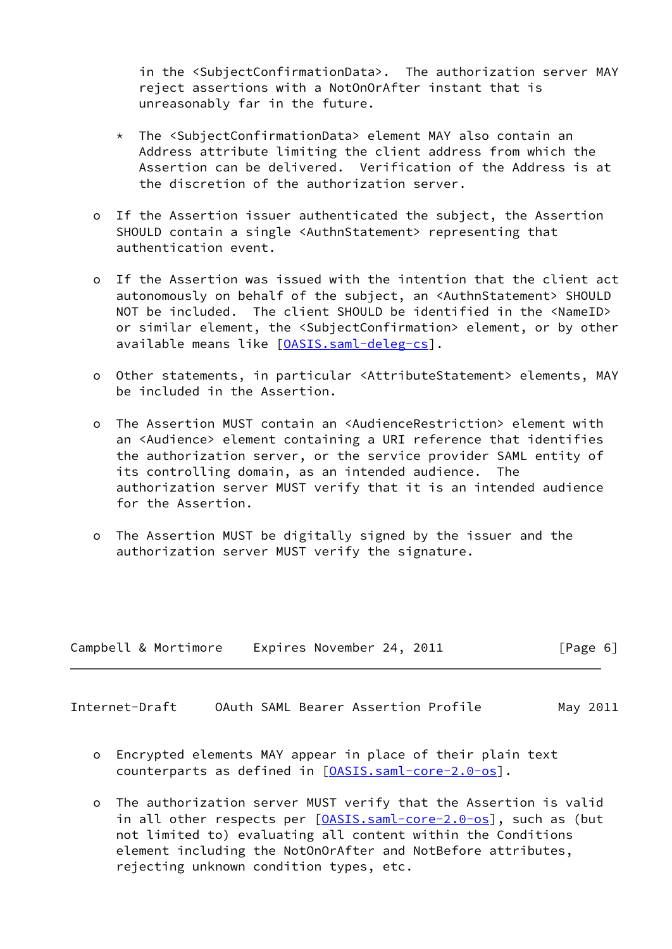in the <SubjectConfirmationData>. The authorization server MAY reject assertions with a NotOnOrAfter instant that is unreasonably far in the future.

- \* The <SubjectConfirmationData> element MAY also contain an Address attribute limiting the client address from which the Assertion can be delivered. Verification of the Address is at the discretion of the authorization server.
- o If the Assertion issuer authenticated the subject, the Assertion SHOULD contain a single <AuthnStatement> representing that authentication event.
- o If the Assertion was issued with the intention that the client act autonomously on behalf of the subject, an <AuthnStatement> SHOULD NOT be included. The client SHOULD be identified in the <NameID> or similar element, the <SubjectConfirmation> element, or by other available means like [\[OASIS.saml-deleg-cs](#page-13-4)].
- o Other statements, in particular <AttributeStatement> elements, MAY be included in the Assertion.
- o The Assertion MUST contain an <AudienceRestriction> element with an <Audience> element containing a URI reference that identifies the authorization server, or the service provider SAML entity of its controlling domain, as an intended audience. The authorization server MUST verify that it is an intended audience for the Assertion.
- o The Assertion MUST be digitally signed by the issuer and the authorization server MUST verify the signature.

| Campbell & Mortimore | Expires November 24, 2011 | [Page 6] |
|----------------------|---------------------------|----------|
|----------------------|---------------------------|----------|

<span id="page-6-0"></span>Internet-Draft OAuth SAML Bearer Assertion Profile May 2011

- o Encrypted elements MAY appear in place of their plain text counterparts as defined in [[OASIS.saml-core-2.0-os](#page-12-3)].
- o The authorization server MUST verify that the Assertion is valid in all other respects per  $[0ASIS.saml-core-2.0-os]$ , such as (but not limited to) evaluating all content within the Conditions element including the NotOnOrAfter and NotBefore attributes, rejecting unknown condition types, etc.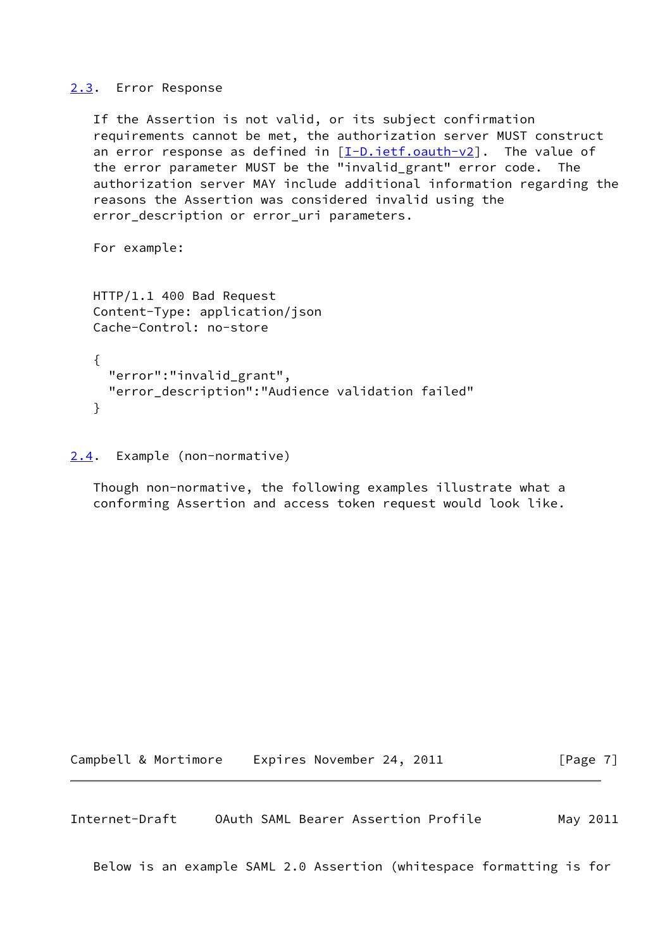#### <span id="page-7-0"></span>[2.3](#page-7-0). Error Response

 If the Assertion is not valid, or its subject confirmation requirements cannot be met, the authorization server MUST construct an error response as defined in  $[I-D.iett.oauth-v2]$ . The value of the error parameter MUST be the "invalid\_grant" error code. The authorization server MAY include additional information regarding the reasons the Assertion was considered invalid using the error\_description or error\_uri parameters.

For example:

```
 HTTP/1.1 400 Bad Request
Content-Type: application/json
Cache-Control: no-store
{
  "error":"invalid_grant",
  "error_description":"Audience validation failed"
```

```
 }
```
<span id="page-7-1"></span>[2.4](#page-7-1). Example (non-normative)

 Though non-normative, the following examples illustrate what a conforming Assertion and access token request would look like.

Campbell & Mortimore Expires November 24, 2011 [Page 7]

Internet-Draft OAuth SAML Bearer Assertion Profile May 2011

Below is an example SAML 2.0 Assertion (whitespace formatting is for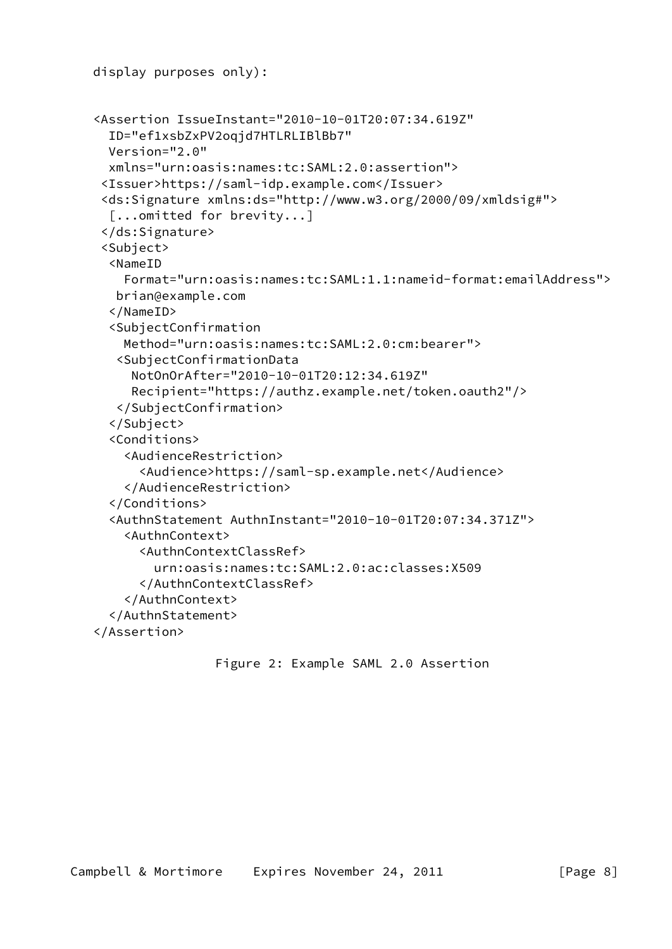```
 display purposes only):
<Assertion IssueInstant="2010-10-01T20:07:34.619Z"
  ID="ef1xsbZxPV2oqjd7HTLRLIBlBb7"
  Version="2.0"
  xmlns="urn:oasis:names:tc:SAML:2.0:assertion">
 <Issuer>https://saml-idp.example.com</Issuer>
 <ds:Signature xmlns:ds="http://www.w3.org/2000/09/xmldsig#">
  [...omitted for brevity...]
 </ds:Signature>
 <Subject>
  <NameID
    Format="urn:oasis:names:tc:SAML:1.1:nameid-format:emailAddress">
   brian@example.com
  </NameID>
  <SubjectConfirmation
    Method="urn:oasis:names:tc:SAML:2.0:cm:bearer">
   <SubjectConfirmationData
     NotOnOrAfter="2010-10-01T20:12:34.619Z"
     Recipient="https://authz.example.net/token.oauth2"/>
   </SubjectConfirmation>
  </Subject>
  <Conditions>
    <AudienceRestriction>
      <Audience>https://saml-sp.example.net</Audience>
    </AudienceRestriction>
  </Conditions>
  <AuthnStatement AuthnInstant="2010-10-01T20:07:34.371Z">
    <AuthnContext>
      <AuthnContextClassRef>
        urn:oasis:names:tc:SAML:2.0:ac:classes:X509
      </AuthnContextClassRef>
    </AuthnContext>
  </AuthnStatement>
</Assertion>
```

```
 Figure 2: Example SAML 2.0 Assertion
```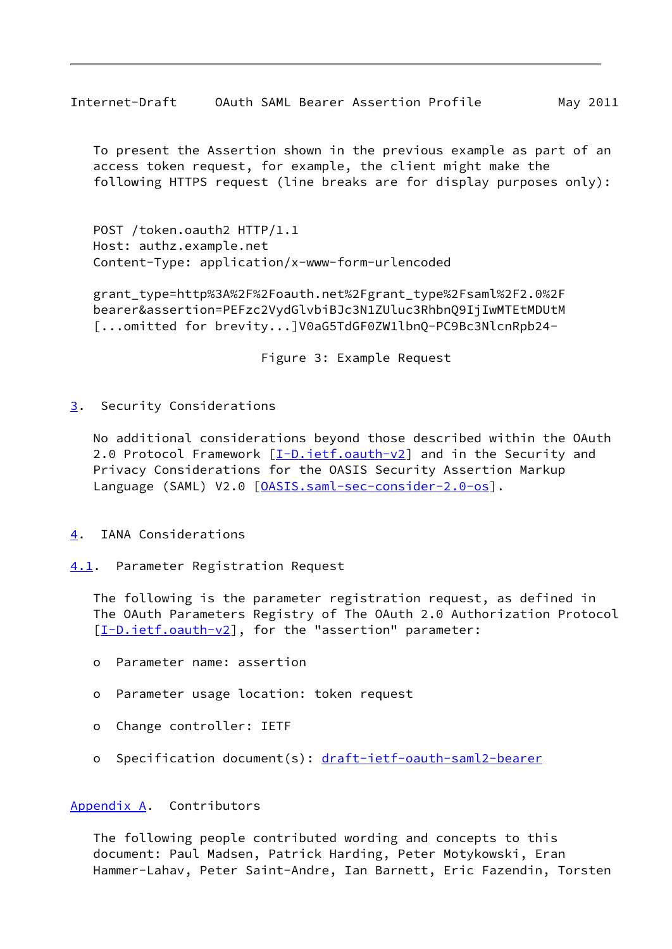<span id="page-9-1"></span>Internet-Draft OAuth SAML Bearer Assertion Profile May 2011

 To present the Assertion shown in the previous example as part of an access token request, for example, the client might make the following HTTPS request (line breaks are for display purposes only):

 POST /token.oauth2 HTTP/1.1 Host: authz.example.net Content-Type: application/x-www-form-urlencoded

 grant\_type=http%3A%2F%2Foauth.net%2Fgrant\_type%2Fsaml%2F2.0%2F bearer&assertion=PEFzc2VydGlvbiBJc3N1ZUluc3RhbnQ9IjIwMTEtMDUtM [...omitted for brevity...]V0aG5TdGF0ZW1lbnQ-PC9Bc3NlcnRpb24-

Figure 3: Example Request

<span id="page-9-0"></span>[3](#page-9-0). Security Considerations

 No additional considerations beyond those described within the OAuth 2.0 Protocol Framework [\[I-D.ietf.oauth-v2](#page-12-4)] and in the Security and Privacy Considerations for the OASIS Security Assertion Markup Language (SAML) V2.0 [\[OASIS.saml-sec-consider-2.0-os](#page-13-5)].

- <span id="page-9-2"></span>[4](#page-9-2). IANA Considerations
- <span id="page-9-3"></span>[4.1](#page-9-3). Parameter Registration Request

 The following is the parameter registration request, as defined in The OAuth Parameters Registry of The OAuth 2.0 Authorization Protocol [\[I-D.ietf.oauth-v2](#page-12-4)], for the "assertion" parameter:

- o Parameter name: assertion
- o Parameter usage location: token request
- o Change controller: IETF
- o Specification document(s): [draft-ietf-oauth-saml2-bearer](https://datatracker.ietf.org/doc/pdf/draft-ietf-oauth-saml2-bearer)

### <span id="page-9-4"></span>[Appendix A.](#page-9-4) Contributors

 The following people contributed wording and concepts to this document: Paul Madsen, Patrick Harding, Peter Motykowski, Eran Hammer-Lahav, Peter Saint-Andre, Ian Barnett, Eric Fazendin, Torsten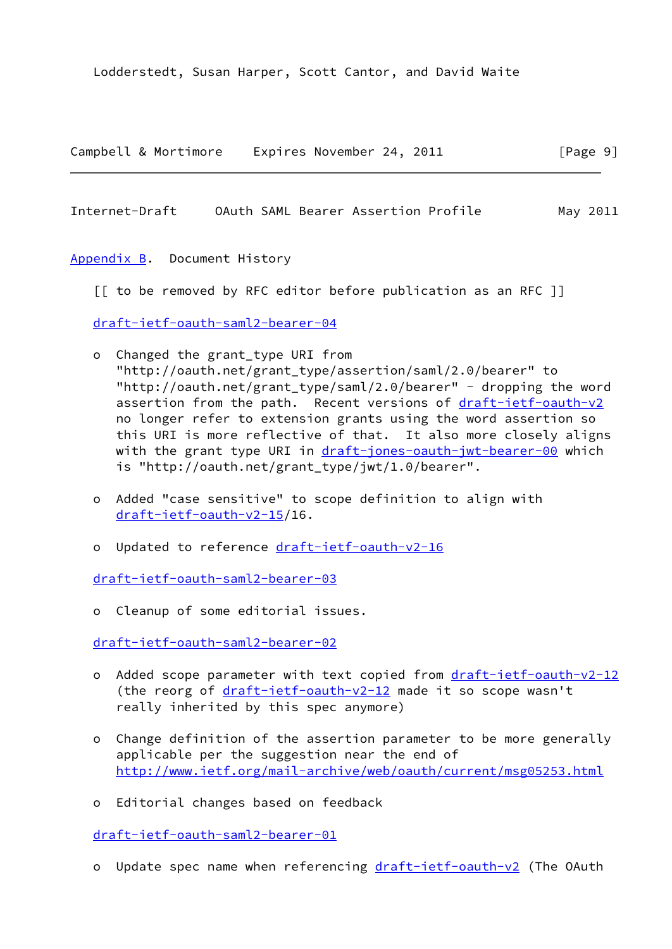Lodderstedt, Susan Harper, Scott Cantor, and David Waite

|  | Campbell & Mortimore |  | Expires November 24, 2011 |  | [Page 9] |  |
|--|----------------------|--|---------------------------|--|----------|--|
|  |                      |  |                           |  |          |  |

<span id="page-10-1"></span>Internet-Draft OAuth SAML Bearer Assertion Profile May 2011

<span id="page-10-0"></span>[Appendix B.](#page-10-0) Document History

[[ to be removed by RFC editor before publication as an RFC ]]

[draft-ietf-oauth-saml2-bearer-04](https://datatracker.ietf.org/doc/pdf/draft-ietf-oauth-saml2-bearer-04)

- o Changed the grant\_type URI from "http://oauth.net/grant\_type/assertion/saml/2.0/bearer" to "http://oauth.net/grant\_type/saml/2.0/bearer" - dropping the word assertion from the path. Recent versions of [draft-ietf-oauth-v2](https://datatracker.ietf.org/doc/pdf/draft-ietf-oauth-v2) no longer refer to extension grants using the word assertion so this URI is more reflective of that. It also more closely aligns with the grant type URI in [draft-jones-oauth-jwt-bearer-00](https://datatracker.ietf.org/doc/pdf/draft-jones-oauth-jwt-bearer-00) which is "http://oauth.net/grant\_type/jwt/1.0/bearer".
- o Added "case sensitive" to scope definition to align with [draft-ietf-oauth-v2-15](https://datatracker.ietf.org/doc/pdf/draft-ietf-oauth-v2-15)/16.
- o Updated to reference [draft-ietf-oauth-v2-16](https://datatracker.ietf.org/doc/pdf/draft-ietf-oauth-v2-16)

[draft-ietf-oauth-saml2-bearer-03](https://datatracker.ietf.org/doc/pdf/draft-ietf-oauth-saml2-bearer-03)

o Cleanup of some editorial issues.

[draft-ietf-oauth-saml2-bearer-02](https://datatracker.ietf.org/doc/pdf/draft-ietf-oauth-saml2-bearer-02)

- o Added scope parameter with text copied from [draft-ietf-oauth-v2-12](https://datatracker.ietf.org/doc/pdf/draft-ietf-oauth-v2-12) (the reorg of  $dr$ aft-ietf-oauth-v2-12 made it so scope wasn't really inherited by this spec anymore)
- o Change definition of the assertion parameter to be more generally applicable per the suggestion near the end of <http://www.ietf.org/mail-archive/web/oauth/current/msg05253.html>
- o Editorial changes based on feedback

[draft-ietf-oauth-saml2-bearer-01](https://datatracker.ietf.org/doc/pdf/draft-ietf-oauth-saml2-bearer-01)

o Update spec name when referencing [draft-ietf-oauth-v2](https://datatracker.ietf.org/doc/pdf/draft-ietf-oauth-v2) (The OAuth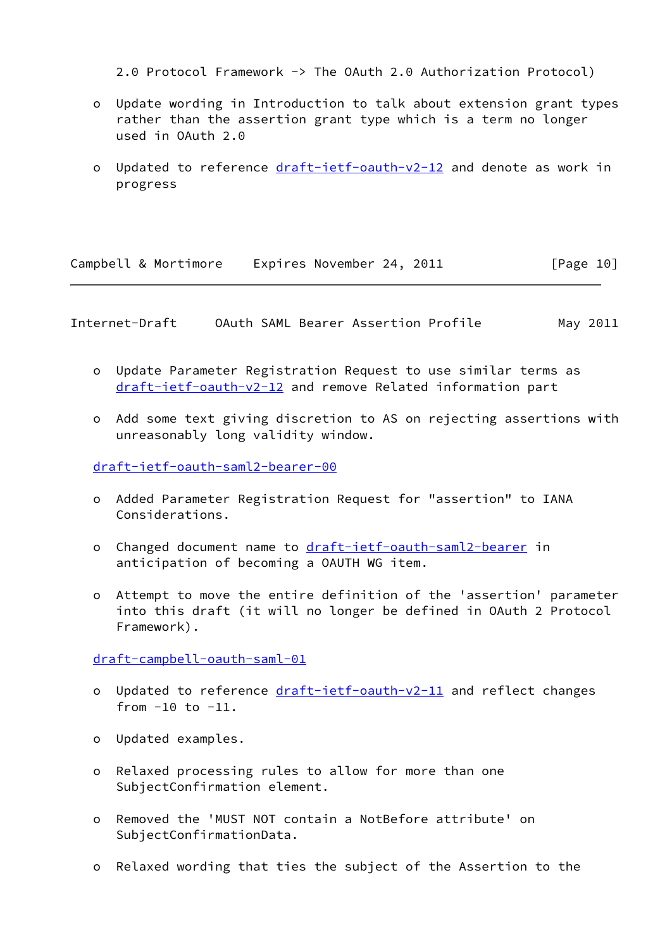2.0 Protocol Framework -> The OAuth 2.0 Authorization Protocol)

- o Update wording in Introduction to talk about extension grant types rather than the assertion grant type which is a term no longer used in OAuth 2.0
- o Updated to reference [draft-ietf-oauth-v2-12](https://datatracker.ietf.org/doc/pdf/draft-ietf-oauth-v2-12) and denote as work in progress

Campbell & Mortimore Expires November 24, 2011 [Page 10]

Internet-Draft OAuth SAML Bearer Assertion Profile May 2011

- o Update Parameter Registration Request to use similar terms as [draft-ietf-oauth-v2-12](https://datatracker.ietf.org/doc/pdf/draft-ietf-oauth-v2-12) and remove Related information part
- o Add some text giving discretion to AS on rejecting assertions with unreasonably long validity window.

[draft-ietf-oauth-saml2-bearer-00](https://datatracker.ietf.org/doc/pdf/draft-ietf-oauth-saml2-bearer-00)

- o Added Parameter Registration Request for "assertion" to IANA Considerations.
- o Changed document name to [draft-ietf-oauth-saml2-bearer](https://datatracker.ietf.org/doc/pdf/draft-ietf-oauth-saml2-bearer) in anticipation of becoming a OAUTH WG item.
- o Attempt to move the entire definition of the 'assertion' parameter into this draft (it will no longer be defined in OAuth 2 Protocol Framework).

[draft-campbell-oauth-saml-01](https://datatracker.ietf.org/doc/pdf/draft-campbell-oauth-saml-01)

- o Updated to reference [draft-ietf-oauth-v2-11](https://datatracker.ietf.org/doc/pdf/draft-ietf-oauth-v2-11) and reflect changes from  $-10$  to  $-11$ .
- o Updated examples.
- o Relaxed processing rules to allow for more than one SubjectConfirmation element.
- o Removed the 'MUST NOT contain a NotBefore attribute' on SubjectConfirmationData.
- o Relaxed wording that ties the subject of the Assertion to the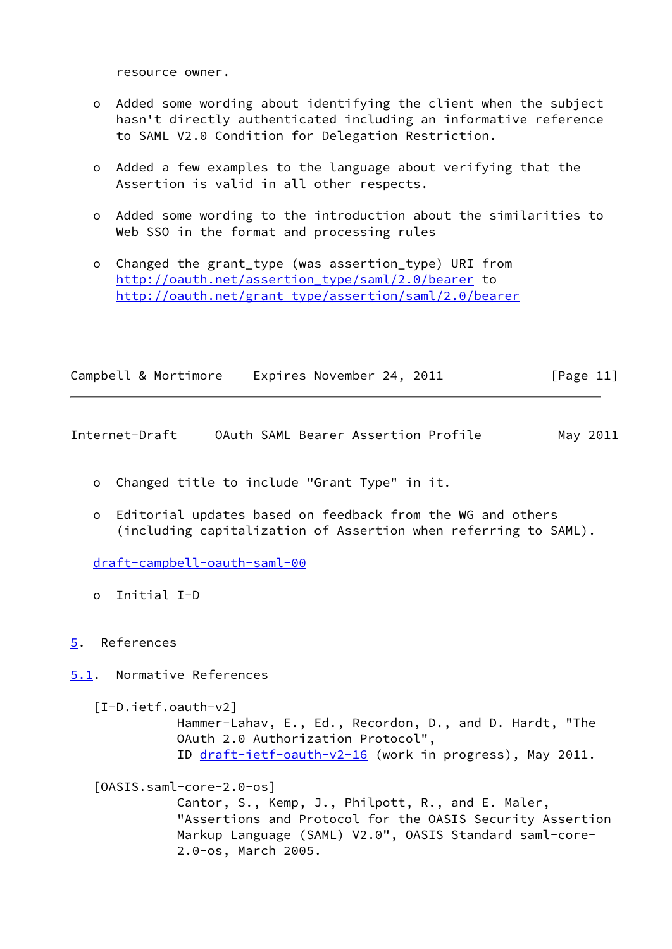resource owner.

- o Added some wording about identifying the client when the subject hasn't directly authenticated including an informative reference to SAML V2.0 Condition for Delegation Restriction.
- o Added a few examples to the language about verifying that the Assertion is valid in all other respects.
- o Added some wording to the introduction about the similarities to Web SSO in the format and processing rules
- o Changed the grant\_type (was assertion\_type) URI from [http://oauth.net/assertion\\_type/saml/2.0/bearer](http://oauth.net/assertion_type/saml/2.0/bearer) to [http://oauth.net/grant\\_type/assertion/saml/2.0/bearer](http://oauth.net/grant_type/assertion/saml/2.0/bearer)

| Campbell & Mortimore | Expires November 24, 2011 |  | [Page 11] |  |
|----------------------|---------------------------|--|-----------|--|
|                      |                           |  |           |  |

<span id="page-12-1"></span>Internet-Draft OAuth SAML Bearer Assertion Profile May 2011

- o Changed title to include "Grant Type" in it.
- o Editorial updates based on feedback from the WG and others (including capitalization of Assertion when referring to SAML).

[draft-campbell-oauth-saml-00](https://datatracker.ietf.org/doc/pdf/draft-campbell-oauth-saml-00)

o Initial I-D

# <span id="page-12-0"></span>[5](#page-12-0). References

<span id="page-12-2"></span>[5.1](#page-12-2). Normative References

<span id="page-12-4"></span>[I-D.ietf.oauth-v2]

 Hammer-Lahav, E., Ed., Recordon, D., and D. Hardt, "The OAuth 2.0 Authorization Protocol", ID [draft-ietf-oauth-v2-16](https://datatracker.ietf.org/doc/pdf/draft-ietf-oauth-v2-16) (work in progress), May 2011.

<span id="page-12-3"></span>[OASIS.saml-core-2.0-os]

 Cantor, S., Kemp, J., Philpott, R., and E. Maler, "Assertions and Protocol for the OASIS Security Assertion Markup Language (SAML) V2.0", OASIS Standard saml-core- 2.0-os, March 2005.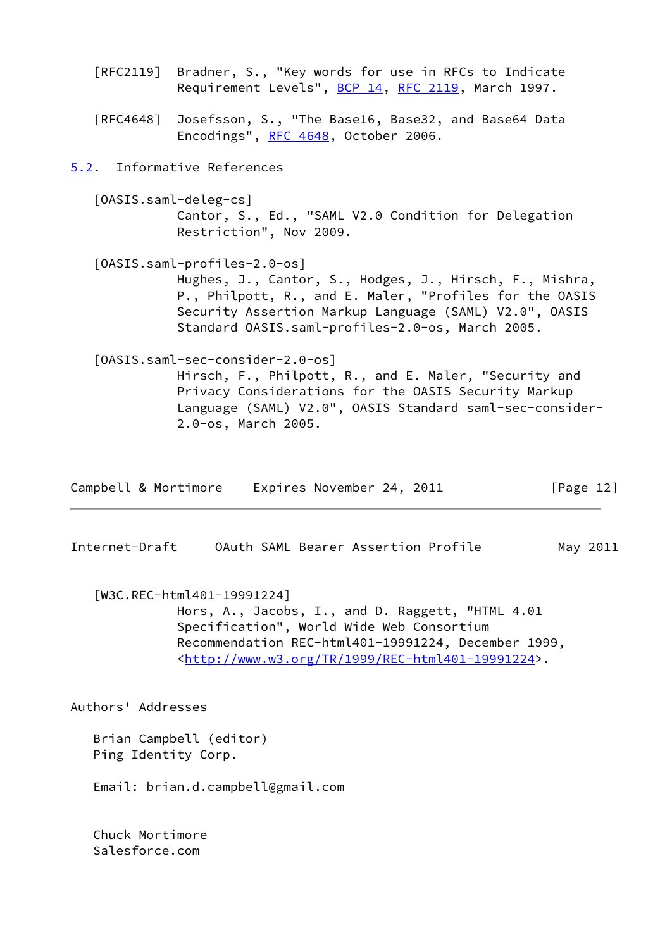<span id="page-13-4"></span><span id="page-13-2"></span><span id="page-13-0"></span>

| Requirement Levels", BCP 14, RFC 2119, March 1997.                                                                                                                                                                                                               |
|------------------------------------------------------------------------------------------------------------------------------------------------------------------------------------------------------------------------------------------------------------------|
| [RFC4648] Josefsson, S., "The Base16, Base32, and Base64 Data<br>Encodings", RFC 4648, October 2006.                                                                                                                                                             |
| 5.2. Informative References                                                                                                                                                                                                                                      |
| [OASIS.saml-deleg-cs]<br>Cantor, S., Ed., "SAML V2.0 Condition for Delegation<br>Restriction", Nov 2009.                                                                                                                                                         |
| [OASIS.saml-profiles-2.0-os]<br>Hughes, J., Cantor, S., Hodges, J., Hirsch, F., Mishra,<br>P., Philpott, R., and E. Maler, "Profiles for the OASIS<br>Security Assertion Markup Language (SAML) V2.0", OASIS<br>Standard OASIS.saml-profiles-2.0-os, March 2005. |
| [OASIS.saml-sec-consider-2.0-os]<br>Hirsch, F., Philpott, R., and E. Maler, "Security and<br>Privacy Considerations for the OASIS Security Markup<br>Language (SAML) V2.0", OASIS Standard saml-sec-consider-<br>2.0-os, March 2005.                             |

[RFC2119] Bradner, S., "Key words for use in RFCs to Indicate

<span id="page-13-5"></span>

| Campbell & Mortimore | Expires November 24, 2011 | [Page 12] |
|----------------------|---------------------------|-----------|
|----------------------|---------------------------|-----------|

<span id="page-13-1"></span>Internet-Draft OAuth SAML Bearer Assertion Profile May 2011

<span id="page-13-3"></span> [W3C.REC-html401-19991224] Hors, A., Jacobs, I., and D. Raggett, "HTML 4.01 Specification", World Wide Web Consortium Recommendation REC-html401-19991224, December 1999, <<http://www.w3.org/TR/1999/REC-html401-19991224>>.

Authors' Addresses

 Brian Campbell (editor) Ping Identity Corp.

Email: brian.d.campbell@gmail.com

 Chuck Mortimore Salesforce.com